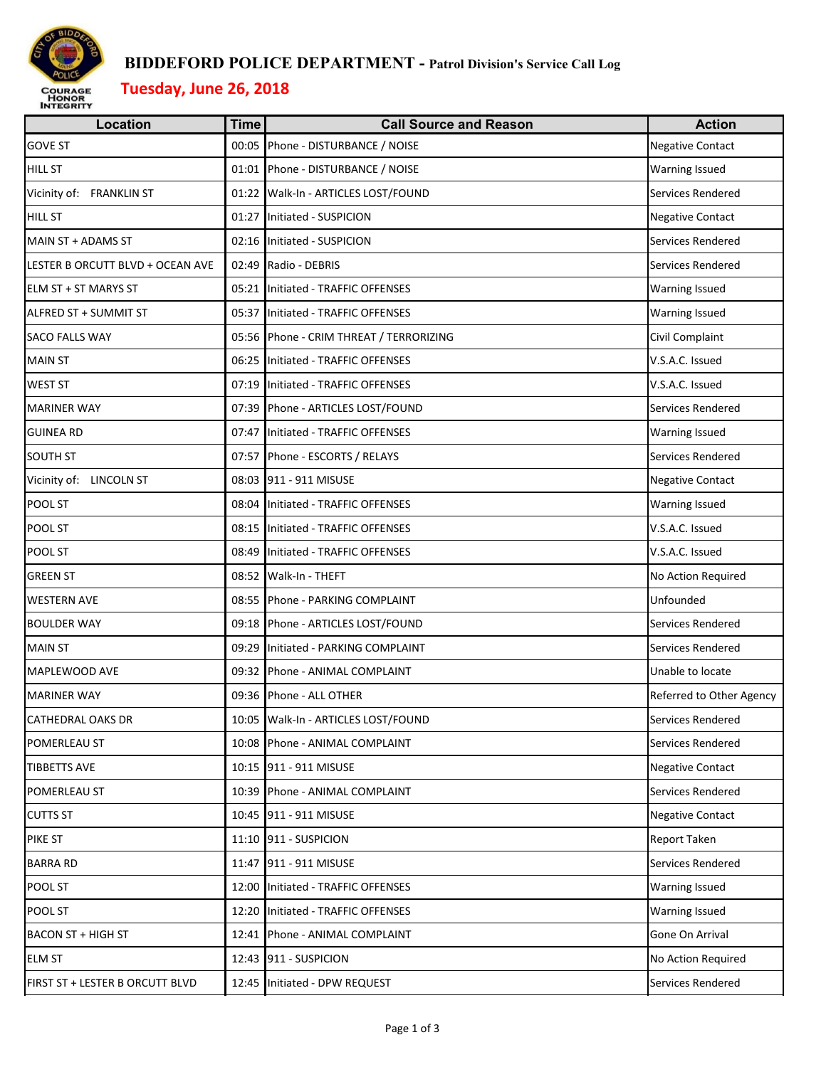

### **BIDDEFORD POLICE DEPARTMENT - Patrol Division's Service Call Log**

# **Tuesday, June 26, 2018**

| <b>Location</b>                  | <b>Time</b> | <b>Call Source and Reason</b>           | <b>Action</b>            |
|----------------------------------|-------------|-----------------------------------------|--------------------------|
| <b>GOVE ST</b>                   |             | 00:05 Phone - DISTURBANCE / NOISE       | <b>Negative Contact</b>  |
| <b>HILL ST</b>                   |             | 01:01 Phone - DISTURBANCE / NOISE       | <b>Warning Issued</b>    |
| Vicinity of: FRANKLIN ST         |             | 01:22 Walk-In - ARTICLES LOST/FOUND     | Services Rendered        |
| <b>HILL ST</b>                   |             | 01:27 Initiated - SUSPICION             | <b>Negative Contact</b>  |
| MAIN ST + ADAMS ST               |             | 02:16 Initiated - SUSPICION             | Services Rendered        |
| LESTER B ORCUTT BLVD + OCEAN AVE |             | 02:49 Radio - DEBRIS                    | Services Rendered        |
| ELM ST + ST MARYS ST             |             | 05:21 Initiated - TRAFFIC OFFENSES      | Warning Issued           |
| ALFRED ST + SUMMIT ST            |             | 05:37 Initiated - TRAFFIC OFFENSES      | <b>Warning Issued</b>    |
| SACO FALLS WAY                   |             | 05:56 Phone - CRIM THREAT / TERRORIZING | Civil Complaint          |
| <b>MAIN ST</b>                   |             | 06:25 Initiated - TRAFFIC OFFENSES      | V.S.A.C. Issued          |
| WEST ST                          |             | 07:19 Initiated - TRAFFIC OFFENSES      | V.S.A.C. Issued          |
| <b>MARINER WAY</b>               |             | 07:39 Phone - ARTICLES LOST/FOUND       | Services Rendered        |
| <b>GUINEA RD</b>                 |             | 07:47 Initiated - TRAFFIC OFFENSES      | <b>Warning Issued</b>    |
| <b>SOUTH ST</b>                  |             | 07:57 Phone - ESCORTS / RELAYS          | Services Rendered        |
| Vicinity of: LINCOLN ST          |             | 08:03 911 - 911 MISUSE                  | Negative Contact         |
| POOL ST                          |             | 08:04 Initiated - TRAFFIC OFFENSES      | <b>Warning Issued</b>    |
| POOL ST                          |             | 08:15 Initiated - TRAFFIC OFFENSES      | V.S.A.C. Issued          |
| POOL ST                          |             | 08:49 Initiated - TRAFFIC OFFENSES      | V.S.A.C. Issued          |
| <b>GREEN ST</b>                  |             | 08:52 Walk-In - THEFT                   | No Action Required       |
| <b>WESTERN AVE</b>               |             | 08:55 Phone - PARKING COMPLAINT         | Unfounded                |
| <b>BOULDER WAY</b>               |             | 09:18 Phone - ARTICLES LOST/FOUND       | Services Rendered        |
| <b>MAIN ST</b>                   |             | 09:29 Initiated - PARKING COMPLAINT     | Services Rendered        |
| MAPLEWOOD AVE                    |             | 09:32 Phone - ANIMAL COMPLAINT          | Unable to locate         |
| <b>MARINER WAY</b>               |             | 09:36 Phone - ALL OTHER                 | Referred to Other Agency |
| CATHEDRAL OAKS DR                |             | 10:05 Walk-In - ARTICLES LOST/FOUND     | Services Rendered        |
| POMERLEAU ST                     |             | 10:08 Phone - ANIMAL COMPLAINT          | Services Rendered        |
| <b>TIBBETTS AVE</b>              |             | 10:15 911 - 911 MISUSE                  | <b>Negative Contact</b>  |
| POMERLEAU ST                     |             | 10:39 Phone - ANIMAL COMPLAINT          | Services Rendered        |
| <b>CUTTS ST</b>                  |             | 10:45 911 - 911 MISUSE                  | <b>Negative Contact</b>  |
| PIKE ST                          |             | 11:10 911 - SUSPICION                   | <b>Report Taken</b>      |
| <b>BARRA RD</b>                  |             | 11:47 911 - 911 MISUSE                  | Services Rendered        |
| POOL ST                          |             | 12:00 Initiated - TRAFFIC OFFENSES      | Warning Issued           |
| POOL ST                          |             | 12:20 Initiated - TRAFFIC OFFENSES      | <b>Warning Issued</b>    |
| <b>BACON ST + HIGH ST</b>        |             | 12:41 Phone - ANIMAL COMPLAINT          | Gone On Arrival          |
| <b>ELM ST</b>                    |             | 12:43 911 - SUSPICION                   | No Action Required       |
| FIRST ST + LESTER B ORCUTT BLVD  |             | 12:45 Initiated - DPW REQUEST           | Services Rendered        |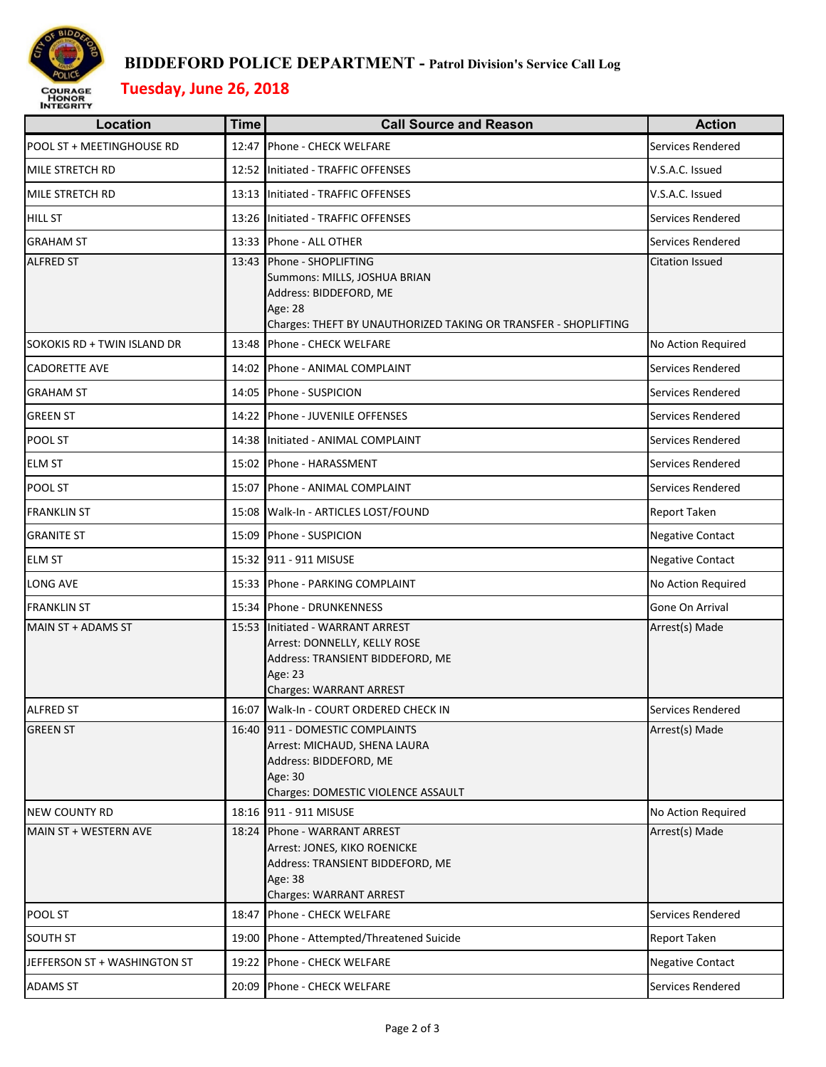

### **BIDDEFORD POLICE DEPARTMENT - Patrol Division's Service Call Log**

# **Tuesday, June 26, 2018**

| <b>Location</b>              | <b>Time</b> | <b>Call Source and Reason</b>                                                                                                                               | <b>Action</b>           |
|------------------------------|-------------|-------------------------------------------------------------------------------------------------------------------------------------------------------------|-------------------------|
| POOL ST + MEETINGHOUSE RD    | 12:47       | Phone - CHECK WELFARE                                                                                                                                       | Services Rendered       |
| <b>MILE STRETCH RD</b>       |             | 12:52 Initiated - TRAFFIC OFFENSES                                                                                                                          | V.S.A.C. Issued         |
| <b>MILE STRETCH RD</b>       | 13:13       | Initiated - TRAFFIC OFFENSES                                                                                                                                | V.S.A.C. Issued         |
| <b>HILL ST</b>               | 13:26       | Initiated - TRAFFIC OFFENSES                                                                                                                                | Services Rendered       |
| <b>GRAHAM ST</b>             | 13:33       | Phone - ALL OTHER                                                                                                                                           | Services Rendered       |
| <b>ALFRED ST</b>             | 13:43       | Phone - SHOPLIFTING<br>Summons: MILLS, JOSHUA BRIAN<br>Address: BIDDEFORD, ME<br>Age: 28<br>Charges: THEFT BY UNAUTHORIZED TAKING OR TRANSFER - SHOPLIFTING | Citation Issued         |
| SOKOKIS RD + TWIN ISLAND DR  | 13:48       | Phone - CHECK WELFARE                                                                                                                                       | No Action Required      |
| <b>CADORETTE AVE</b>         | 14:02       | Phone - ANIMAL COMPLAINT                                                                                                                                    | Services Rendered       |
| <b>GRAHAM ST</b>             | 14:05       | Phone - SUSPICION                                                                                                                                           | Services Rendered       |
| <b>GREEN ST</b>              | 14:22       | Phone - JUVENILE OFFENSES                                                                                                                                   | Services Rendered       |
| POOL ST                      | 14:38       | Initiated - ANIMAL COMPLAINT                                                                                                                                | Services Rendered       |
| <b>ELM ST</b>                | 15:02       | Phone - HARASSMENT                                                                                                                                          | Services Rendered       |
| POOL ST                      | 15:07       | Phone - ANIMAL COMPLAINT                                                                                                                                    | Services Rendered       |
| <b>FRANKLIN ST</b>           | 15:08       | Walk-In - ARTICLES LOST/FOUND                                                                                                                               | Report Taken            |
| <b>GRANITE ST</b>            | 15:09       | Phone - SUSPICION                                                                                                                                           | <b>Negative Contact</b> |
| <b>ELM ST</b>                |             | 15:32 911 - 911 MISUSE                                                                                                                                      | <b>Negative Contact</b> |
| LONG AVE                     |             | 15:33 Phone - PARKING COMPLAINT                                                                                                                             | No Action Required      |
| <b>FRANKLIN ST</b>           |             | 15:34 Phone - DRUNKENNESS                                                                                                                                   | Gone On Arrival         |
| MAIN ST + ADAMS ST           | 15:53       | Initiated - WARRANT ARREST<br>Arrest: DONNELLY, KELLY ROSE<br>Address: TRANSIENT BIDDEFORD, ME<br>Age: 23<br><b>Charges: WARRANT ARREST</b>                 | Arrest(s) Made          |
| <b>ALFRED ST</b>             |             | 16:07 Walk-In - COURT ORDERED CHECK IN                                                                                                                      | Services Rendered       |
| <b>GREEN ST</b>              |             | 16:40 911 - DOMESTIC COMPLAINTS<br>Arrest: MICHAUD, SHENA LAURA<br>Address: BIDDEFORD, ME<br>Age: 30<br>Charges: DOMESTIC VIOLENCE ASSAULT                  | Arrest(s) Made          |
| <b>NEW COUNTY RD</b>         |             | 18:16 911 - 911 MISUSE                                                                                                                                      | No Action Required      |
| MAIN ST + WESTERN AVE        | 18:24       | Phone - WARRANT ARREST<br>Arrest: JONES, KIKO ROENICKE<br>Address: TRANSIENT BIDDEFORD, ME<br>Age: 38<br><b>Charges: WARRANT ARREST</b>                     | Arrest(s) Made          |
| POOL ST                      | 18:47       | Phone - CHECK WELFARE                                                                                                                                       | Services Rendered       |
| <b>SOUTH ST</b>              | 19:00       | Phone - Attempted/Threatened Suicide                                                                                                                        | Report Taken            |
| JEFFERSON ST + WASHINGTON ST | 19:22       | Phone - CHECK WELFARE                                                                                                                                       | <b>Negative Contact</b> |
| <b>ADAMS ST</b>              | 20:09       | Phone - CHECK WELFARE                                                                                                                                       | Services Rendered       |